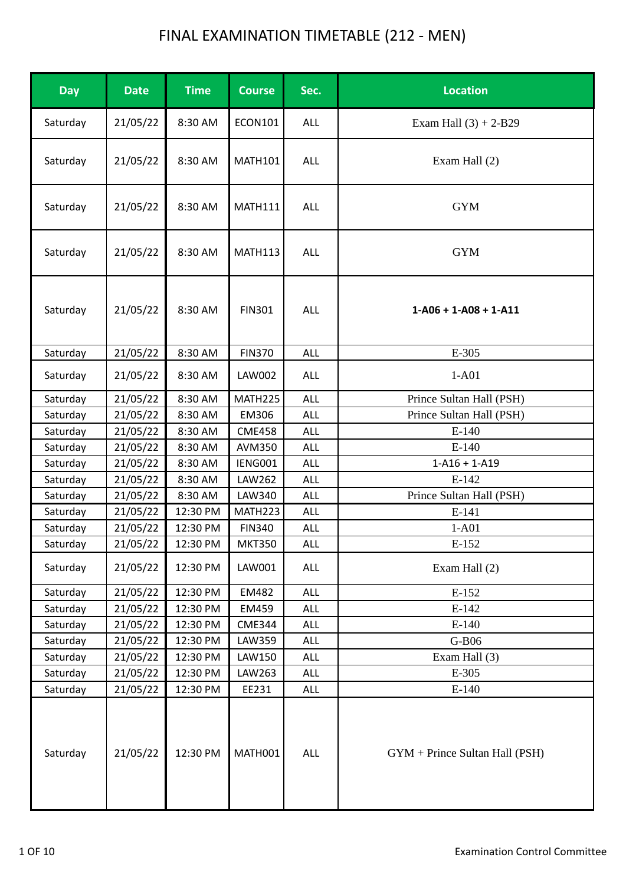| <b>Day</b> | <b>Date</b> | <b>Time</b> | <b>Course</b>  | Sec.       | <b>Location</b>                |
|------------|-------------|-------------|----------------|------------|--------------------------------|
| Saturday   | 21/05/22    | 8:30 AM     | <b>ECON101</b> | ALL        | Exam Hall $(3) + 2-B29$        |
| Saturday   | 21/05/22    | 8:30 AM     | <b>MATH101</b> | ALL        | Exam Hall (2)                  |
| Saturday   | 21/05/22    | 8:30 AM     | <b>MATH111</b> | ALL        | <b>GYM</b>                     |
| Saturday   | 21/05/22    | 8:30 AM     | <b>MATH113</b> | ALL        | <b>GYM</b>                     |
| Saturday   | 21/05/22    | 8:30 AM     | <b>FIN301</b>  | ALL        | $1-A06 + 1-A08 + 1-A11$        |
| Saturday   | 21/05/22    | 8:30 AM     | <b>FIN370</b>  | ALL        | E-305                          |
| Saturday   | 21/05/22    | 8:30 AM     | <b>LAW002</b>  | ALL        | $1-A01$                        |
| Saturday   | 21/05/22    | 8:30 AM     | MATH225        | <b>ALL</b> | Prince Sultan Hall (PSH)       |
| Saturday   | 21/05/22    | 8:30 AM     | EM306          | <b>ALL</b> | Prince Sultan Hall (PSH)       |
| Saturday   | 21/05/22    | 8:30 AM     | <b>CME458</b>  | ALL        | $E-140$                        |
| Saturday   | 21/05/22    | 8:30 AM     | AVM350         | ALL        | $E-140$                        |
| Saturday   | 21/05/22    | 8:30 AM     | IENG001        | <b>ALL</b> | $1 - A16 + 1 - A19$            |
| Saturday   | 21/05/22    | 8:30 AM     | LAW262         | ALL        | $E-142$                        |
| Saturday   | 21/05/22    | 8:30 AM     | LAW340         | ALL        | Prince Sultan Hall (PSH)       |
| Saturday   | 21/05/22    | 12:30 PM    | MATH223        | ALL        | E-141                          |
| Saturday   | 21/05/22    | 12:30 PM    | <b>FIN340</b>  | ALL        | $1-A01$                        |
| Saturday   | 21/05/22    | 12:30 PM    | <b>MKT350</b>  | ALL        | E-152                          |
| Saturday   | 21/05/22    | 12:30 PM    | LAW001         | ALL        | Exam Hall (2)                  |
| Saturday   | 21/05/22    | 12:30 PM    | EM482          | <b>ALL</b> | E-152                          |
| Saturday   | 21/05/22    | 12:30 PM    | EM459          | ALL        | $E-142$                        |
| Saturday   | 21/05/22    | 12:30 PM    | <b>CME344</b>  | ALL        | $E-140$                        |
| Saturday   | 21/05/22    | 12:30 PM    | LAW359         | ALL        | G-B06                          |
| Saturday   | 21/05/22    | 12:30 PM    | LAW150         | <b>ALL</b> | Exam Hall (3)                  |
| Saturday   | 21/05/22    | 12:30 PM    | LAW263         | ALL        | E-305                          |
| Saturday   | 21/05/22    | 12:30 PM    | EE231          | ALL        | $E-140$                        |
| Saturday   | 21/05/22    | 12:30 PM    | MATH001        | ALL        | GYM + Prince Sultan Hall (PSH) |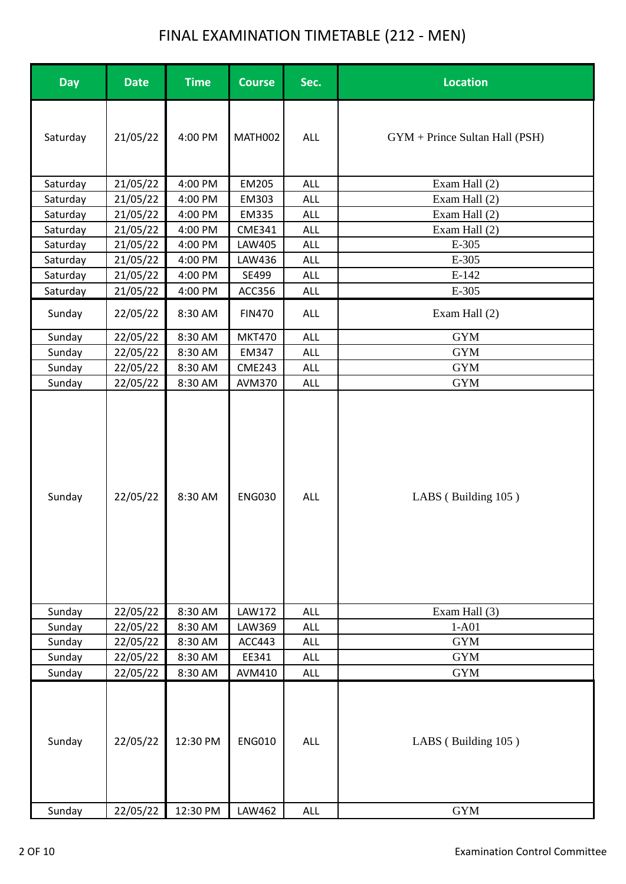| <b>Day</b> | <b>Date</b> | <b>Time</b> | <b>Course</b> | Sec.       | <b>Location</b>                  |
|------------|-------------|-------------|---------------|------------|----------------------------------|
| Saturday   | 21/05/22    | 4:00 PM     | MATH002       | ALL        | $GYM + Prince Sultan Hall (PSH)$ |
| Saturday   | 21/05/22    | 4:00 PM     | EM205         | ALL        | Exam Hall (2)                    |
| Saturday   | 21/05/22    | 4:00 PM     | EM303         | ALL        | Exam Hall (2)                    |
| Saturday   | 21/05/22    | 4:00 PM     | <b>EM335</b>  | <b>ALL</b> | Exam Hall (2)                    |
| Saturday   | 21/05/22    | 4:00 PM     | <b>CME341</b> | <b>ALL</b> | Exam Hall (2)                    |
| Saturday   | 21/05/22    | 4:00 PM     | LAW405        | <b>ALL</b> | E-305                            |
| Saturday   | 21/05/22    | 4:00 PM     | LAW436        | ALL        | E-305                            |
| Saturday   | 21/05/22    | 4:00 PM     | SE499         | ALL        | $E-142$                          |
| Saturday   | 21/05/22    | 4:00 PM     | ACC356        | <b>ALL</b> | E-305                            |
| Sunday     | 22/05/22    | 8:30 AM     | <b>FIN470</b> | ALL        | Exam Hall (2)                    |
| Sunday     | 22/05/22    | 8:30 AM     | <b>MKT470</b> | ALL        | <b>GYM</b>                       |
| Sunday     | 22/05/22    | 8:30 AM     | EM347         | <b>ALL</b> | <b>GYM</b>                       |
| Sunday     | 22/05/22    | 8:30 AM     | <b>CME243</b> | ALL        | <b>GYM</b>                       |
| Sunday     | 22/05/22    | 8:30 AM     | <b>AVM370</b> | ALL        | <b>GYM</b>                       |
| Sunday     | 22/05/22    | 8:30 AM     | <b>ENG030</b> | ALL        | LABS (Building 105)              |
| Sunday     | 22/05/22    | 8:30 AM     | <b>LAW172</b> | ALL        | Exam Hall (3)                    |
| Sunday     | 22/05/22    | 8:30 AM     | LAW369        | <b>ALL</b> | $1-A01$                          |
| Sunday     | 22/05/22    | 8:30 AM     | ACC443        | <b>ALL</b> | <b>GYM</b>                       |
| Sunday     | 22/05/22    | 8:30 AM     | EE341         | ALL        | <b>GYM</b>                       |
| Sunday     | 22/05/22    | 8:30 AM     | AVM410        | ALL        | <b>GYM</b>                       |
| Sunday     | 22/05/22    | 12:30 PM    | <b>ENG010</b> | ALL        | LABS (Building 105)              |
| Sunday     | 22/05/22    | 12:30 PM    | LAW462        | ALL        | <b>GYM</b>                       |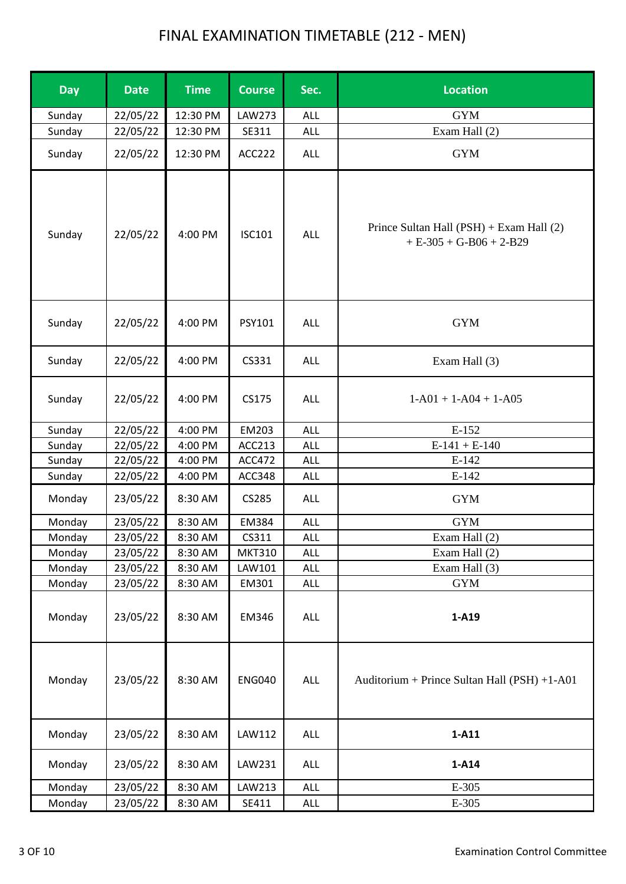| <b>Day</b> | <b>Date</b> | <b>Time</b> | <b>Course</b> | Sec.       | <b>Location</b>                                                       |
|------------|-------------|-------------|---------------|------------|-----------------------------------------------------------------------|
| Sunday     | 22/05/22    | 12:30 PM    | LAW273        | ALL        | <b>GYM</b>                                                            |
| Sunday     | 22/05/22    | 12:30 PM    | SE311         | ALL        | Exam Hall (2)                                                         |
| Sunday     | 22/05/22    | 12:30 PM    | ACC222        | ALL        | <b>GYM</b>                                                            |
| Sunday     | 22/05/22    | 4:00 PM     | <b>ISC101</b> | ALL        | Prince Sultan Hall (PSH) + Exam Hall (2)<br>$+ E-305 + G-B06 + 2-B29$ |
| Sunday     | 22/05/22    | 4:00 PM     | PSY101        | ALL        | <b>GYM</b>                                                            |
| Sunday     | 22/05/22    | 4:00 PM     | CS331         | ALL        | Exam Hall (3)                                                         |
| Sunday     | 22/05/22    | 4:00 PM     | CS175         | <b>ALL</b> | $1-A01 + 1-A04 + 1-A05$                                               |
| Sunday     | 22/05/22    | 4:00 PM     | EM203         | ALL        | E-152                                                                 |
| Sunday     | 22/05/22    | 4:00 PM     | ACC213        | <b>ALL</b> | $E-141 + E-140$                                                       |
| Sunday     | 22/05/22    | 4:00 PM     | <b>ACC472</b> | <b>ALL</b> | $E-142$                                                               |
| Sunday     | 22/05/22    | 4:00 PM     | ACC348        | <b>ALL</b> | $E-142$                                                               |
| Monday     | 23/05/22    | 8:30 AM     | CS285         | <b>ALL</b> | <b>GYM</b>                                                            |
| Monday     | 23/05/22    | 8:30 AM     | EM384         | ALL        | <b>GYM</b>                                                            |
| Monday     | 23/05/22    | 8:30 AM     | CS311         | ALL        | Exam Hall (2)                                                         |
| Monday     | 23/05/22    | 8:30 AM     | <b>MKT310</b> | <b>ALL</b> | Exam Hall (2)                                                         |
| Monday     | 23/05/22    | 8:30 AM     | LAW101        | ALL        | Exam Hall (3)                                                         |
| Monday     | 23/05/22    | 8:30 AM     | EM301         | ALL        | <b>GYM</b>                                                            |
| Monday     | 23/05/22    | 8:30 AM     | EM346         | ALL        | 1-A19                                                                 |
| Monday     | 23/05/22    | 8:30 AM     | <b>ENG040</b> | ALL        | Auditorium + Prince Sultan Hall (PSH) +1-A01                          |
| Monday     | 23/05/22    | 8:30 AM     | LAW112        | ALL        | $1-A11$                                                               |
| Monday     | 23/05/22    | 8:30 AM     | LAW231        | ALL        | 1-A14                                                                 |
| Monday     | 23/05/22    | 8:30 AM     | LAW213        | ALL        | E-305                                                                 |
| Monday     | 23/05/22    | 8:30 AM     | SE411         | <b>ALL</b> | E-305                                                                 |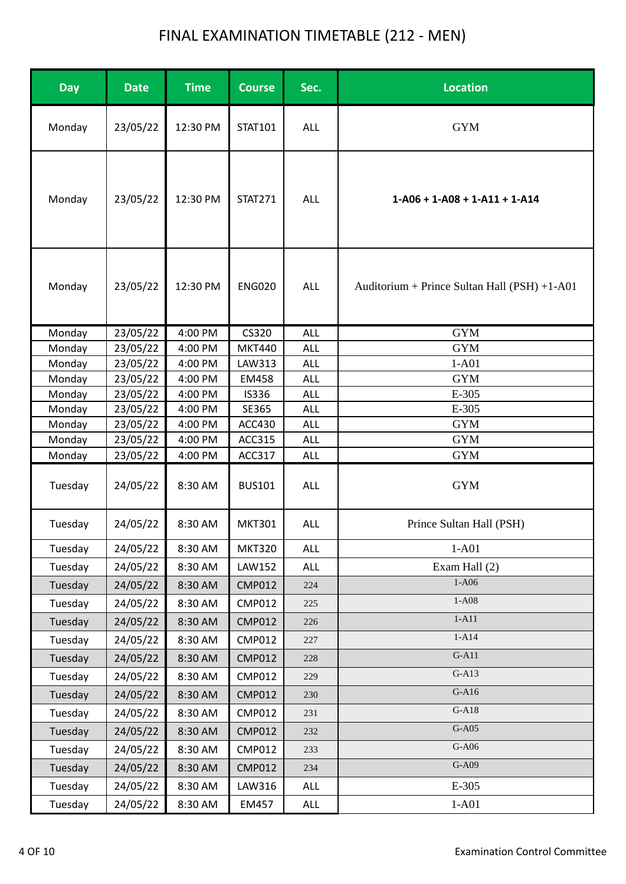| <b>Day</b>        | <b>Date</b>          | <b>Time</b>        | <b>Course</b>           | Sec.                     | <b>Location</b>                              |
|-------------------|----------------------|--------------------|-------------------------|--------------------------|----------------------------------------------|
| Monday            | 23/05/22             | 12:30 PM           | STAT101                 | ALL                      | <b>GYM</b>                                   |
| Monday            | 23/05/22             | 12:30 PM           | <b>STAT271</b>          | ALL                      | $1-A06 + 1-A08 + 1-A11 + 1-A14$              |
| Monday            | 23/05/22             | 12:30 PM           | <b>ENG020</b>           | <b>ALL</b>               | Auditorium + Prince Sultan Hall (PSH) +1-A01 |
| Monday            | 23/05/22             | 4:00 PM            | CS320                   | <b>ALL</b>               | <b>GYM</b>                                   |
| Monday            | 23/05/22             | 4:00 PM            | <b>MKT440</b>           | <b>ALL</b>               | <b>GYM</b>                                   |
| Monday            | 23/05/22             | 4:00 PM            | LAW313                  | <b>ALL</b>               | $1-A01$                                      |
| Monday            | 23/05/22             | 4:00 PM            | EM458                   | <b>ALL</b>               | <b>GYM</b>                                   |
| Monday            | 23/05/22             | 4:00 PM            | <b>IS336</b>            | <b>ALL</b>               | E-305                                        |
| Monday            | 23/05/22             | 4:00 PM            | SE365                   | ALL                      | E-305                                        |
| Monday            | 23/05/22             | 4:00 PM            | <b>ACC430</b>           | <b>ALL</b>               | <b>GYM</b>                                   |
| Monday            | 23/05/22             | 4:00 PM            | ACC315                  | <b>ALL</b>               | <b>GYM</b>                                   |
| Monday<br>Tuesday | 23/05/22<br>24/05/22 | 4:00 PM<br>8:30 AM | ACC317<br><b>BUS101</b> | <b>ALL</b><br><b>ALL</b> | <b>GYM</b><br><b>GYM</b>                     |
| Tuesday           | 24/05/22             | 8:30 AM            | <b>MKT301</b>           | <b>ALL</b>               | Prince Sultan Hall (PSH)                     |
| Tuesday           | 24/05/22             | 8:30 AM            | <b>MKT320</b>           | <b>ALL</b>               | $1-A01$                                      |
| Tuesday           | 24/05/22             | 8:30 AM            | LAW152                  | ALL                      | Exam Hall (2)                                |
| Tuesday           | 24/05/22             | 8:30 AM            | <b>CMP012</b>           | 224                      | $1-A06$                                      |
| Tuesday           | 24/05/22             | 8:30 AM            | <b>CMP012</b>           | 225                      | $1-A08$                                      |
| Tuesday           | 24/05/22             | 8:30 AM            | <b>CMP012</b>           | 226                      | $1-A11$                                      |
| Tuesday           | 24/05/22             | 8:30 AM            | <b>CMP012</b>           | 227                      | $1-A14$                                      |
| Tuesday           | 24/05/22             | 8:30 AM            | <b>CMP012</b>           | 228                      | $G-A11$                                      |
| Tuesday           | 24/05/22             | 8:30 AM            | <b>CMP012</b>           | 229                      | $G-A13$                                      |
| Tuesday           | 24/05/22             | 8:30 AM            | <b>CMP012</b>           | 230                      | $G-A16$                                      |
| Tuesday           | 24/05/22             | 8:30 AM            | <b>CMP012</b>           | 231                      | $G-A18$                                      |
|                   |                      |                    |                         |                          | $G-A05$                                      |
| Tuesday           | 24/05/22             | 8:30 AM            | <b>CMP012</b>           | 232                      | $G-A06$                                      |
| Tuesday           | 24/05/22             | 8:30 AM            | <b>CMP012</b>           | 233                      |                                              |
| Tuesday           | 24/05/22             | 8:30 AM            | <b>CMP012</b>           | 234                      | $G-A09$                                      |
| Tuesday           | 24/05/22             | 8:30 AM            | LAW316                  | ALL                      | E-305                                        |
| Tuesday           | 24/05/22             | 8:30 AM            | EM457                   | ALL                      | $1-A01$                                      |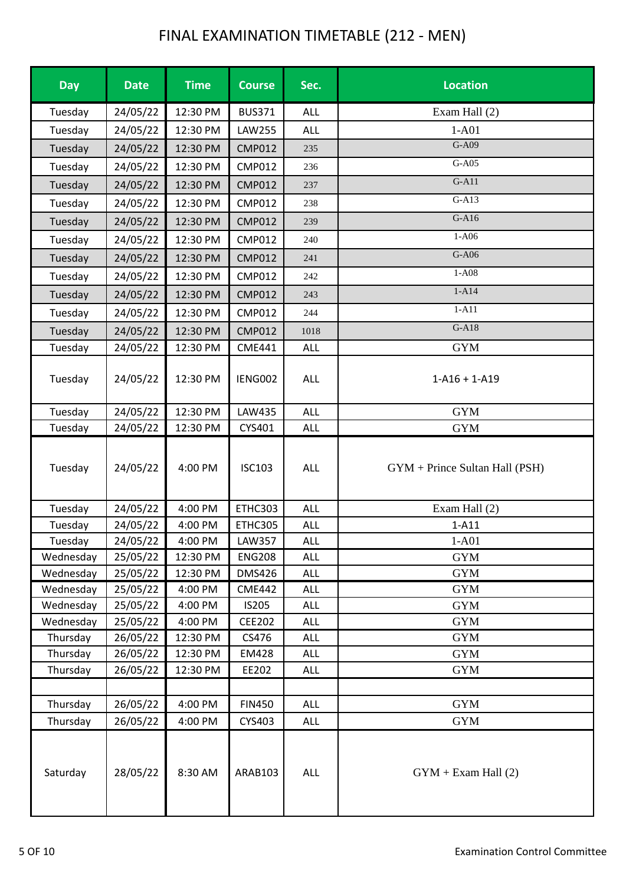| <b>Day</b> | <b>Date</b> | <b>Time</b> | <b>Course</b> | Sec.       | <b>Location</b>                  |
|------------|-------------|-------------|---------------|------------|----------------------------------|
| Tuesday    | 24/05/22    | 12:30 PM    | <b>BUS371</b> | ALL        | Exam Hall (2)                    |
| Tuesday    | 24/05/22    | 12:30 PM    | <b>LAW255</b> | ALL        | $1-A01$                          |
| Tuesday    | 24/05/22    | 12:30 PM    | <b>CMP012</b> | 235        | G-A09                            |
| Tuesday    | 24/05/22    | 12:30 PM    | <b>CMP012</b> | 236        | G-A05                            |
| Tuesday    | 24/05/22    | 12:30 PM    | <b>CMP012</b> | 237        | $G-A11$                          |
| Tuesday    | 24/05/22    | 12:30 PM    | <b>CMP012</b> | 238        | $G-A13$                          |
| Tuesday    | 24/05/22    | 12:30 PM    | <b>CMP012</b> | 239        | $G-A16$                          |
| Tuesday    | 24/05/22    | 12:30 PM    | <b>CMP012</b> | 240        | $1-A06$                          |
| Tuesday    | 24/05/22    | 12:30 PM    | <b>CMP012</b> | 241        | $G-A06$                          |
| Tuesday    | 24/05/22    | 12:30 PM    | <b>CMP012</b> | 242        | $1-A08$                          |
| Tuesday    | 24/05/22    | 12:30 PM    | <b>CMP012</b> | 243        | $1-A14$                          |
| Tuesday    | 24/05/22    | 12:30 PM    | <b>CMP012</b> | 244        | $1-A11$                          |
| Tuesday    | 24/05/22    | 12:30 PM    | <b>CMP012</b> | 1018       | $G-A18$                          |
| Tuesday    | 24/05/22    | 12:30 PM    | <b>CME441</b> | ALL        | <b>GYM</b>                       |
| Tuesday    | 24/05/22    | 12:30 PM    | IENG002       | ALL        | $1 - A16 + 1 - A19$              |
| Tuesday    | 24/05/22    | 12:30 PM    | LAW435        | <b>ALL</b> | <b>GYM</b>                       |
| Tuesday    | 24/05/22    | 12:30 PM    | CYS401        | ALL        | <b>GYM</b>                       |
| Tuesday    | 24/05/22    | 4:00 PM     | <b>ISC103</b> | ALL        | $GYM + Prince Sultan Hall (PSH)$ |
| Tuesday    | 24/05/22    | 4:00 PM     | ETHC303       | ALL        | Exam Hall (2)                    |
| Tuesday    | 24/05/22    | 4:00 PM     | ETHC305       | <b>ALL</b> | $1-A11$                          |
| Tuesday    | 24/05/22    | 4:00 PM     | <b>LAW357</b> | <b>ALL</b> | $1-A01$                          |
| Wednesday  | 25/05/22    | 12:30 PM    | <b>ENG208</b> | <b>ALL</b> | <b>GYM</b>                       |
| Wednesday  | 25/05/22    | 12:30 PM    | <b>DMS426</b> | <b>ALL</b> | <b>GYM</b>                       |
| Wednesday  | 25/05/22    | 4:00 PM     | <b>CME442</b> | <b>ALL</b> | <b>GYM</b>                       |
| Wednesday  | 25/05/22    | 4:00 PM     | IS205         | <b>ALL</b> | <b>GYM</b>                       |
| Wednesday  | 25/05/22    | 4:00 PM     | <b>CEE202</b> | <b>ALL</b> | <b>GYM</b>                       |
| Thursday   | 26/05/22    | 12:30 PM    | CS476         | <b>ALL</b> | <b>GYM</b>                       |
| Thursday   | 26/05/22    | 12:30 PM    | EM428         | ALL        | <b>GYM</b>                       |
| Thursday   | 26/05/22    | 12:30 PM    | EE202         | ALL        | <b>GYM</b>                       |
|            |             |             |               |            |                                  |
| Thursday   | 26/05/22    | 4:00 PM     | <b>FIN450</b> | ALL        | <b>GYM</b>                       |
| Thursday   | 26/05/22    | 4:00 PM     | CYS403        | <b>ALL</b> | <b>GYM</b>                       |
| Saturday   | 28/05/22    | 8:30 AM     | ARAB103       | ALL        | $GYM + Exam Hall(2)$             |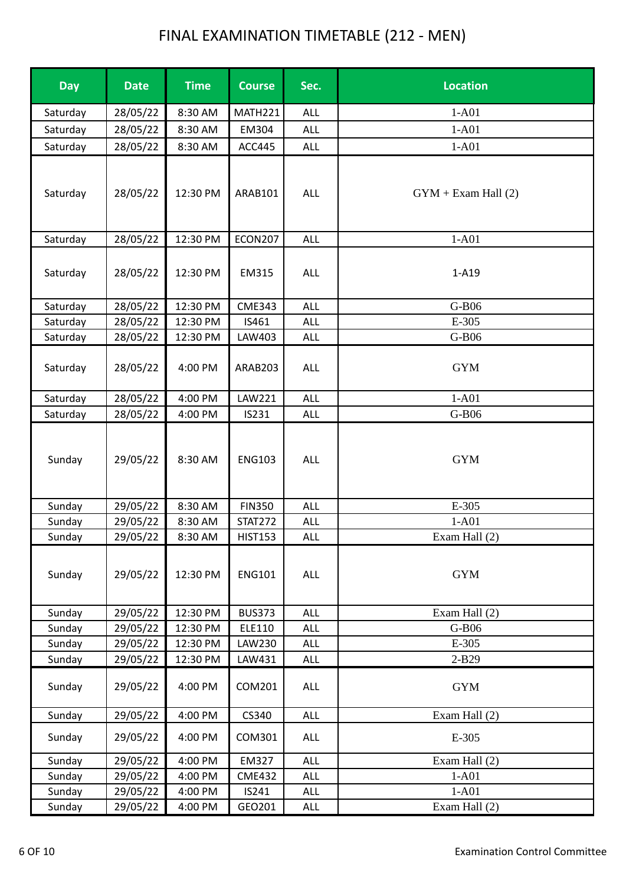| <b>Day</b> | <b>Date</b> | <b>Time</b> | <b>Course</b>  | Sec.       | <b>Location</b>      |
|------------|-------------|-------------|----------------|------------|----------------------|
| Saturday   | 28/05/22    | 8:30 AM     | MATH221        | <b>ALL</b> | $1-A01$              |
| Saturday   | 28/05/22    | 8:30 AM     | EM304          | <b>ALL</b> | $1-A01$              |
| Saturday   | 28/05/22    | 8:30 AM     | ACC445         | <b>ALL</b> | $1-A01$              |
| Saturday   | 28/05/22    | 12:30 PM    | ARAB101        | ALL        | $GYM + Exam Hall(2)$ |
| Saturday   | 28/05/22    | 12:30 PM    | <b>ECON207</b> | <b>ALL</b> | $1-A01$              |
| Saturday   | 28/05/22    | 12:30 PM    | EM315          | <b>ALL</b> | $1-A19$              |
| Saturday   | 28/05/22    | 12:30 PM    | <b>CME343</b>  | ALL        | G-B06                |
| Saturday   | 28/05/22    | 12:30 PM    | IS461          | <b>ALL</b> | E-305                |
| Saturday   | 28/05/22    | 12:30 PM    | LAW403         | ALL        | G-B06                |
| Saturday   | 28/05/22    | 4:00 PM     | ARAB203        | ALL        | <b>GYM</b>           |
| Saturday   | 28/05/22    | 4:00 PM     | LAW221         | <b>ALL</b> | $1-A01$              |
| Saturday   | 28/05/22    | 4:00 PM     | IS231          | <b>ALL</b> | G-B06                |
| Sunday     | 29/05/22    | 8:30 AM     | <b>ENG103</b>  | <b>ALL</b> | <b>GYM</b>           |
| Sunday     | 29/05/22    | 8:30 AM     | <b>FIN350</b>  | <b>ALL</b> | E-305                |
| Sunday     | 29/05/22    | 8:30 AM     | <b>STAT272</b> | <b>ALL</b> | $1-A01$              |
| Sunday     | 29/05/22    | 8:30 AM     | <b>HIST153</b> | <b>ALL</b> | Exam Hall (2)        |
| Sunday     | 29/05/22    | 12:30 PM    | <b>ENG101</b>  | <b>ALL</b> | <b>GYM</b>           |
| Sunday     | 29/05/22    | 12:30 PM    | <b>BUS373</b>  | ALL        | Exam Hall (2)        |
| Sunday     | 29/05/22    | 12:30 PM    | ELE110         | <b>ALL</b> | G-B06                |
| Sunday     | 29/05/22    | 12:30 PM    | LAW230         | <b>ALL</b> | E-305                |
| Sunday     | 29/05/22    | 12:30 PM    | LAW431         | <b>ALL</b> | $2-B29$              |
| Sunday     | 29/05/22    | 4:00 PM     | COM201         | ALL        | <b>GYM</b>           |
| Sunday     | 29/05/22    | 4:00 PM     | CS340          | ALL        | Exam Hall (2)        |
| Sunday     | 29/05/22    | 4:00 PM     | COM301         | ALL        | E-305                |
| Sunday     | 29/05/22    | 4:00 PM     | EM327          | <b>ALL</b> | Exam Hall (2)        |
| Sunday     | 29/05/22    | 4:00 PM     | <b>CME432</b>  | <b>ALL</b> | $1-A01$              |
| Sunday     | 29/05/22    | 4:00 PM     | IS241          | ALL        | $1-A01$              |
| Sunday     | 29/05/22    | 4:00 PM     | GEO201         | <b>ALL</b> | Exam Hall (2)        |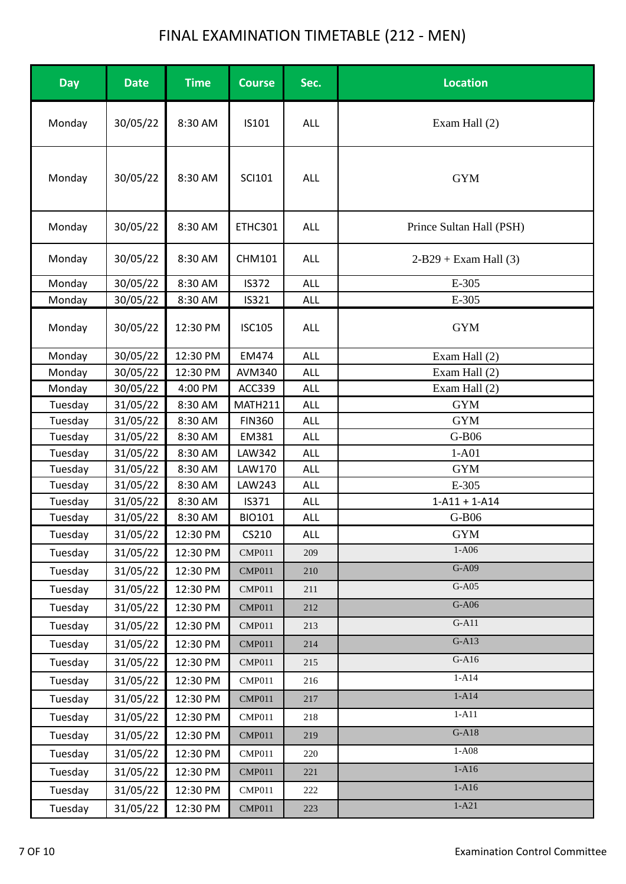| <b>Day</b><br><b>Time</b><br>Sec.<br><b>Location</b><br><b>Date</b><br><b>Course</b>   |  |
|----------------------------------------------------------------------------------------|--|
| Monday<br>30/05/22<br>8:30 AM<br>IS101<br>Exam Hall (2)<br>ALL                         |  |
| <b>GYM</b><br>Monday<br>30/05/22<br>8:30 AM<br><b>SCI101</b><br><b>ALL</b>             |  |
| Prince Sultan Hall (PSH)<br>Monday<br>30/05/22<br>8:30 AM<br>ETHC301<br><b>ALL</b>     |  |
| $2-B29 + Exam Hall(3)$<br>Monday<br>30/05/22<br>8:30 AM<br><b>CHM101</b><br><b>ALL</b> |  |
| 30/05/22<br>Monday<br>8:30 AM<br><b>IS372</b><br><b>ALL</b><br>E-305                   |  |
| 30/05/22<br>E-305<br>8:30 AM<br>IS321<br>Monday<br><b>ALL</b>                          |  |
| <b>GYM</b><br>Monday<br>30/05/22<br>12:30 PM<br><b>ISC105</b><br>ALL                   |  |
| 30/05/22<br>12:30 PM<br>EM474<br><b>ALL</b><br>Exam Hall (2)<br>Monday                 |  |
| Exam Hall (2)<br>Monday<br>30/05/22<br>AVM340<br>12:30 PM<br><b>ALL</b>                |  |
| Exam Hall (2)<br>Monday<br>30/05/22<br>4:00 PM<br>ACC339<br><b>ALL</b>                 |  |
| <b>MATH211</b><br><b>GYM</b><br>31/05/22<br>8:30 AM<br><b>ALL</b><br>Tuesday           |  |
| <b>GYM</b><br>Tuesday<br>31/05/22<br>8:30 AM<br><b>FIN360</b><br><b>ALL</b>            |  |
| EM381<br>G-B06<br>Tuesday<br>31/05/22<br>8:30 AM<br><b>ALL</b>                         |  |
| Tuesday<br>31/05/22<br>8:30 AM<br><b>LAW342</b><br><b>ALL</b><br>$1-A01$               |  |
| <b>GYM</b><br>31/05/22<br>8:30 AM<br>LAW170<br><b>ALL</b><br>Tuesday                   |  |
| E-305<br>Tuesday<br>31/05/22<br>8:30 AM<br>LAW243<br><b>ALL</b>                        |  |
| Tuesday<br>31/05/22<br>$1 - A11 + 1 - A14$<br>8:30 AM<br>IS371<br><b>ALL</b>           |  |
| 31/05/22<br>8:30 AM<br><b>BIO101</b><br>G-B06<br>Tuesday<br><b>ALL</b>                 |  |
| 31/05/22<br>12:30 PM<br>CS210<br>Tuesday<br>ALL<br><b>GYM</b><br>$1-A06$               |  |
| 31/05/22<br>12:30 PM<br><b>CMP011</b><br>Tuesday<br>209<br>$G-A09$                     |  |
| Tuesday<br>12:30 PM<br>31/05/22<br><b>CMP011</b><br>210                                |  |
| $G-A05$<br>12:30 PM<br>Tuesday<br>31/05/22<br><b>CMP011</b><br>211                     |  |
| $G-A06$<br>31/05/22<br>12:30 PM<br>Tuesday<br><b>CMP011</b><br>212                     |  |
| $G-A11$<br>12:30 PM<br>Tuesday<br>31/05/22<br><b>CMP011</b><br>213                     |  |
| $G-A13$<br>31/05/22<br>12:30 PM<br><b>CMP011</b><br>Tuesday<br>214                     |  |
| $G-A16$<br>31/05/22<br>12:30 PM<br><b>CMP011</b><br>Tuesday<br>215                     |  |
| $1-A14$<br>31/05/22<br>Tuesday<br>12:30 PM<br>CMP011<br>216                            |  |
| $1-A14$<br>31/05/22<br>12:30 PM<br><b>CMP011</b><br>Tuesday<br>217                     |  |
| $1-A11$<br>31/05/22<br>12:30 PM<br>Tuesday<br>CMP011<br>218                            |  |
| $G-A18$<br>31/05/22<br>12:30 PM<br>Tuesday<br><b>CMP011</b><br>219                     |  |
| $1-A08$<br>31/05/22<br>12:30 PM<br>Tuesday<br>CMP011<br>220                            |  |
| $1-A16$<br>Tuesday<br>31/05/22<br>12:30 PM<br><b>CMP011</b><br>221                     |  |
| $1-A16$<br>12:30 PM<br>Tuesday<br>31/05/22<br><b>CMP011</b><br>222                     |  |
| $1-A21$<br>31/05/22<br>12:30 PM<br>Tuesday<br><b>CMP011</b><br>223                     |  |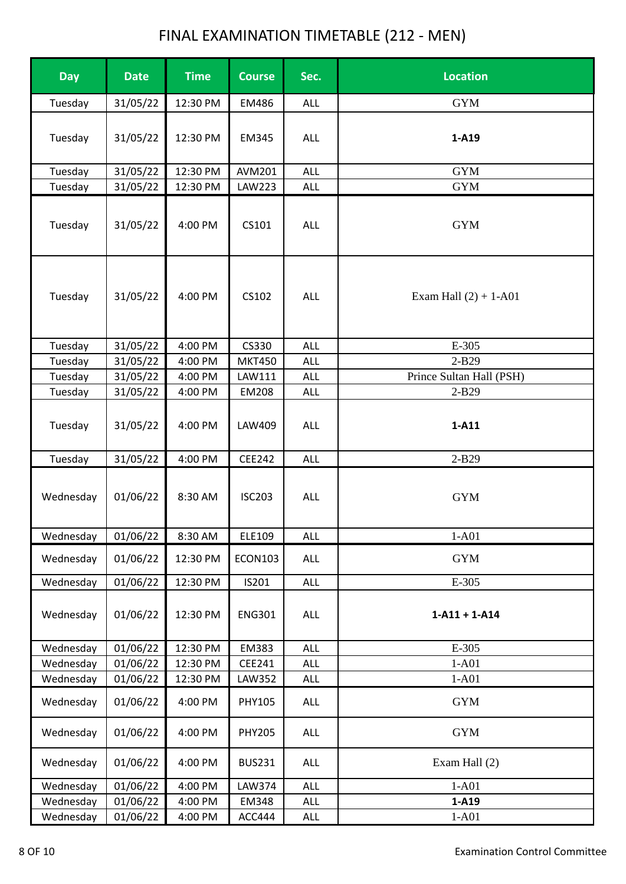| <b>Day</b> | <b>Date</b> | <b>Time</b> | <b>Course</b>  | Sec.       | <b>Location</b>          |
|------------|-------------|-------------|----------------|------------|--------------------------|
| Tuesday    | 31/05/22    | 12:30 PM    | EM486          | ALL        | <b>GYM</b>               |
| Tuesday    | 31/05/22    | 12:30 PM    | EM345          | ALL        | 1-A19                    |
| Tuesday    | 31/05/22    | 12:30 PM    | <b>AVM201</b>  | ALL        | <b>GYM</b>               |
| Tuesday    | 31/05/22    | 12:30 PM    | LAW223         | <b>ALL</b> | <b>GYM</b>               |
| Tuesday    | 31/05/22    | 4:00 PM     | CS101          | ALL        | <b>GYM</b>               |
| Tuesday    | 31/05/22    | 4:00 PM     | CS102          | <b>ALL</b> | Exam Hall $(2) + 1-A01$  |
| Tuesday    | 31/05/22    | 4:00 PM     | CS330          | ALL        | E-305                    |
| Tuesday    | 31/05/22    | 4:00 PM     | <b>MKT450</b>  | <b>ALL</b> | $2-B29$                  |
| Tuesday    | 31/05/22    | 4:00 PM     | LAW111         | ALL        | Prince Sultan Hall (PSH) |
| Tuesday    | 31/05/22    | 4:00 PM     | <b>EM208</b>   | <b>ALL</b> | 2-B29                    |
| Tuesday    | 31/05/22    | 4:00 PM     | LAW409         | ALL        | $1-A11$                  |
| Tuesday    | 31/05/22    | 4:00 PM     | CEE242         | <b>ALL</b> | 2-B29                    |
| Wednesday  | 01/06/22    | 8:30 AM     | <b>ISC203</b>  | <b>ALL</b> | <b>GYM</b>               |
| Wednesday  | 01/06/22    | 8:30 AM     | ELE109         | <b>ALL</b> | $1-A01$                  |
| Wednesday  | 01/06/22    | 12:30 PM    | <b>ECON103</b> | ALL        | <b>GYM</b>               |
| Wednesday  | 01/06/22    | 12:30 PM    | IS201          | ALL        | E-305                    |
| Wednesday  | 01/06/22    | 12:30 PM    | <b>ENG301</b>  | ALL        | $1 - A11 + 1 - A14$      |
| Wednesday  | 01/06/22    | 12:30 PM    | EM383          | ALL        | E-305                    |
| Wednesday  | 01/06/22    | 12:30 PM    | CEE241         | ALL        | $1-A01$                  |
| Wednesday  | 01/06/22    | 12:30 PM    | LAW352         | ALL        | $1-A01$                  |
| Wednesday  | 01/06/22    | 4:00 PM     | PHY105         | ALL        | <b>GYM</b>               |
| Wednesday  | 01/06/22    | 4:00 PM     | <b>PHY205</b>  | ALL        | <b>GYM</b>               |
| Wednesday  | 01/06/22    | 4:00 PM     | <b>BUS231</b>  | ALL        | Exam Hall (2)            |
| Wednesday  | 01/06/22    | 4:00 PM     | LAW374         | <b>ALL</b> | $1-A01$                  |
| Wednesday  | 01/06/22    | 4:00 PM     | EM348          | ALL        | 1-A19                    |
| Wednesday  | 01/06/22    | 4:00 PM     | ACC444         | ALL        | $1-A01$                  |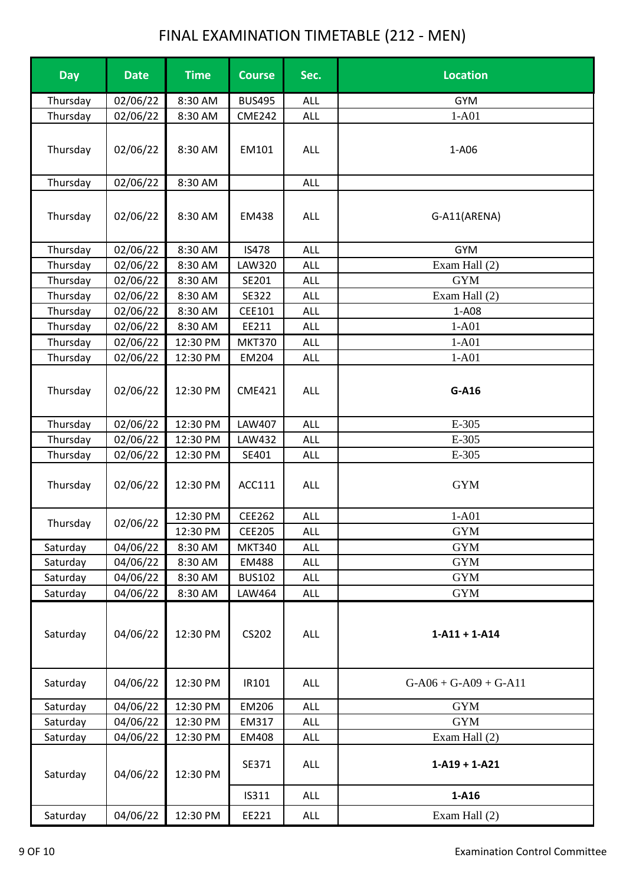| <b>Day</b> | <b>Date</b> | <b>Time</b> | <b>Course</b> | Sec.       | <b>Location</b>         |
|------------|-------------|-------------|---------------|------------|-------------------------|
| Thursday   | 02/06/22    | 8:30 AM     | <b>BUS495</b> | <b>ALL</b> | <b>GYM</b>              |
| Thursday   | 02/06/22    | 8:30 AM     | <b>CME242</b> | <b>ALL</b> | $1-A01$                 |
| Thursday   | 02/06/22    | 8:30 AM     | EM101         | ALL        | 1-A06                   |
| Thursday   | 02/06/22    | 8:30 AM     |               | <b>ALL</b> |                         |
| Thursday   | 02/06/22    | 8:30 AM     | EM438         | ALL        | G-A11(ARENA)            |
| Thursday   | 02/06/22    | 8:30 AM     | <b>IS478</b>  | ALL        | <b>GYM</b>              |
| Thursday   | 02/06/22    | 8:30 AM     | LAW320        | <b>ALL</b> | Exam Hall (2)           |
| Thursday   | 02/06/22    | 8:30 AM     | SE201         | <b>ALL</b> | <b>GYM</b>              |
| Thursday   | 02/06/22    | 8:30 AM     | SE322         | <b>ALL</b> | Exam Hall (2)           |
| Thursday   | 02/06/22    | 8:30 AM     | CEE101        | <b>ALL</b> | 1-A08                   |
| Thursday   | 02/06/22    | 8:30 AM     | EE211         | <b>ALL</b> | $1-A01$                 |
| Thursday   | 02/06/22    | 12:30 PM    | <b>MKT370</b> | <b>ALL</b> | $1-A01$                 |
| Thursday   | 02/06/22    | 12:30 PM    | EM204         | ALL        | $1-A01$                 |
| Thursday   | 02/06/22    | 12:30 PM    | <b>CME421</b> | <b>ALL</b> | G-A16                   |
| Thursday   | 02/06/22    | 12:30 PM    | LAW407        | ALL        | E-305                   |
| Thursday   | 02/06/22    | 12:30 PM    | LAW432        | <b>ALL</b> | E-305                   |
| Thursday   | 02/06/22    | 12:30 PM    | SE401         | <b>ALL</b> | E-305                   |
| Thursday   | 02/06/22    | 12:30 PM    | ACC111        | ALL        | <b>GYM</b>              |
|            |             | 12:30 PM    | CEE262        | <b>ALL</b> | $1-A01$                 |
| Thursday   | 02/06/22    | 12:30 PM    | <b>CEE205</b> | <b>ALL</b> | <b>GYM</b>              |
| Saturday   | 04/06/22    | 8:30 AM     | <b>MKT340</b> | <b>ALL</b> | <b>GYM</b>              |
| Saturday   | 04/06/22    | 8:30 AM     | <b>EM488</b>  | <b>ALL</b> | <b>GYM</b>              |
| Saturday   | 04/06/22    | 8:30 AM     | <b>BUS102</b> | <b>ALL</b> | <b>GYM</b>              |
| Saturday   | 04/06/22    | 8:30 AM     | LAW464        | ALL        | <b>GYM</b>              |
| Saturday   | 04/06/22    | 12:30 PM    | CS202         | <b>ALL</b> | $1 - A11 + 1 - A14$     |
| Saturday   | 04/06/22    | 12:30 PM    | IR101         | ALL        | $G-A06 + G-A09 + G-A11$ |
| Saturday   | 04/06/22    | 12:30 PM    | EM206         | ALL        | <b>GYM</b>              |
| Saturday   | 04/06/22    | 12:30 PM    | EM317         | <b>ALL</b> | <b>GYM</b>              |
| Saturday   | 04/06/22    | 12:30 PM    | <b>EM408</b>  | <b>ALL</b> | Exam Hall (2)           |
| Saturday   | 04/06/22    | 12:30 PM    | SE371         | ALL        | $1 - A19 + 1 - A21$     |
|            |             |             | IS311         | <b>ALL</b> | $1-A16$                 |
| Saturday   | 04/06/22    | 12:30 PM    | EE221         | <b>ALL</b> | Exam Hall (2)           |